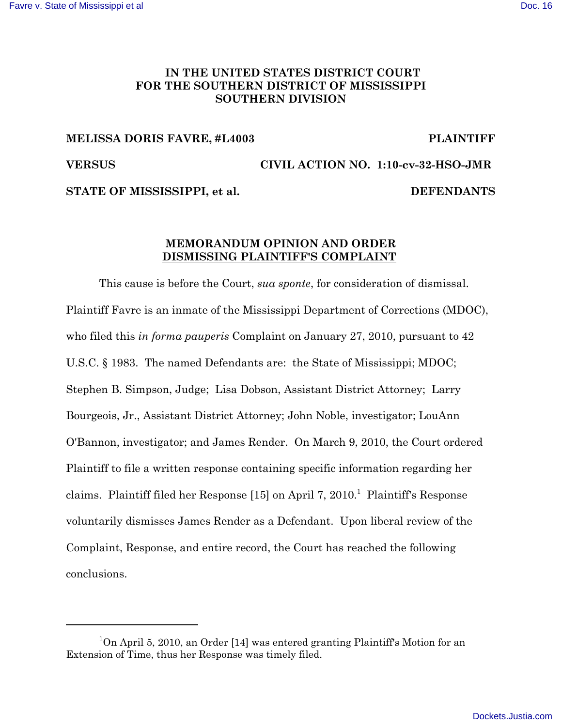# **IN THE UNITED STATES DISTRICT COURT FOR THE SOUTHERN DISTRICT OF MISSISSIPPI SOUTHERN DIVISION**

### **MELISSA DORIS FAVRE, #L4003 PLAINTIFF**

**VERSUS CIVIL ACTION NO. 1:10-cv-32-HSO-JMR**

STATE OF MISSISSIPPI, et al. DEFENDANTS

## **MEMORANDUM OPINION AND ORDER DISMISSING PLAINTIFF'S COMPLAINT**

This cause is before the Court, *sua sponte*, for consideration of dismissal. Plaintiff Favre is an inmate of the Mississippi Department of Corrections (MDOC), who filed this *in forma pauperis* Complaint on January 27, 2010, pursuant to 42 U.S.C. § 1983. The named Defendants are: the State of Mississippi; MDOC; Stephen B. Simpson, Judge; Lisa Dobson, Assistant District Attorney; Larry Bourgeois, Jr., Assistant District Attorney; John Noble, investigator; LouAnn O'Bannon, investigator; and James Render. On March 9, 2010, the Court ordered Plaintiff to file a written response containing specific information regarding her claims. Plaintiff filed her Response [15] on April 7, 2010.<sup>1</sup> Plaintiff's Response voluntarily dismisses James Render as a Defendant. Upon liberal review of the Complaint, Response, and entire record, the Court has reached the following conclusions.

<sup>&</sup>lt;sup>1</sup>On April 5, 2010, an Order [14] was entered granting Plaintiff's Motion for an Extension of Time, thus her Response was timely filed.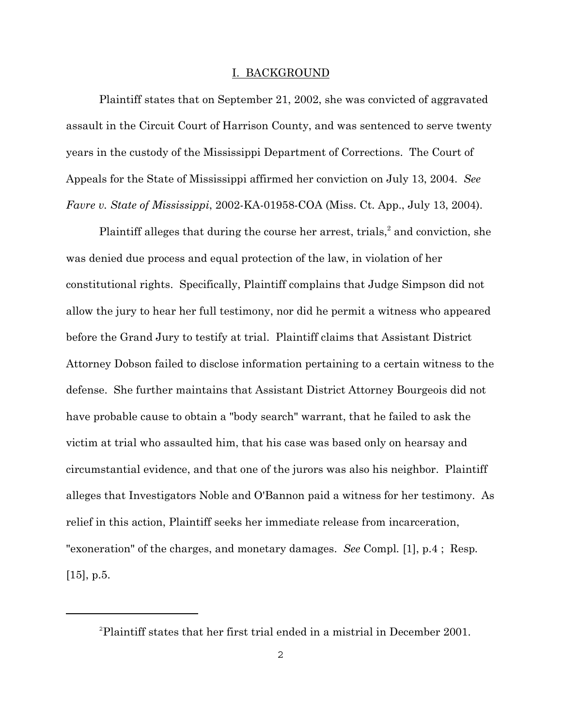#### I. BACKGROUND

Plaintiff states that on September 21, 2002, she was convicted of aggravated assault in the Circuit Court of Harrison County, and was sentenced to serve twenty years in the custody of the Mississippi Department of Corrections. The Court of Appeals for the State of Mississippi affirmed her conviction on July 13, 2004. *See Favre v. State of Mississippi*, 2002-KA-01958-COA (Miss. Ct. App., July 13, 2004).

Plaintiff alleges that during the course her arrest, trials, $<sup>2</sup>$  and conviction, she</sup> was denied due process and equal protection of the law, in violation of her constitutional rights. Specifically, Plaintiff complains that Judge Simpson did not allow the jury to hear her full testimony, nor did he permit a witness who appeared before the Grand Jury to testify at trial. Plaintiff claims that Assistant District Attorney Dobson failed to disclose information pertaining to a certain witness to the defense. She further maintains that Assistant District Attorney Bourgeois did not have probable cause to obtain a "body search" warrant, that he failed to ask the victim at trial who assaulted him, that his case was based only on hearsay and circumstantial evidence, and that one of the jurors was also his neighbor. Plaintiff alleges that Investigators Noble and O'Bannon paid a witness for her testimony. As relief in this action, Plaintiff seeks her immediate release from incarceration, "exoneration" of the charges, and monetary damages. *See* Compl*.* [1], p.4 ; Resp*.*  $[15]$ , p.5.

<sup>2</sup> Plaintiff states that her first trial ended in a mistrial in December 2001.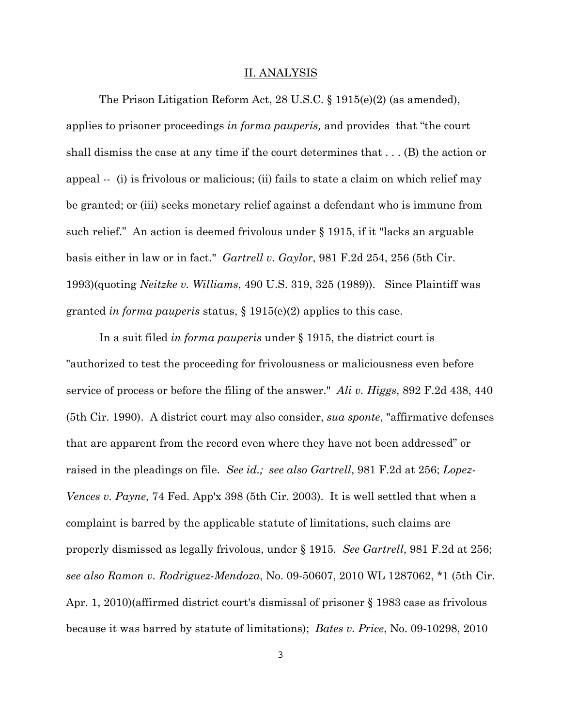#### II. ANALYSIS

The Prison Litigation Reform Act, 28 U.S.C. § 1915(e)(2) (as amended), applies to prisoner proceedings *in forma pauperis,* and provides that "the court shall dismiss the case at any time if the court determines that . . . (B) the action or appeal -- (i) is frivolous or malicious; (ii) fails to state a claim on which relief may be granted; or (iii) seeks monetary relief against a defendant who is immune from such relief." An action is deemed frivolous under § 1915, if it "lacks an arguable basis either in law or in fact." *Gartrell v. Gaylor*, 981 F.2d 254, 256 (5th Cir. 1993)(quoting *Neitzke v. Williams*, 490 U.S. 319, 325 (1989)). Since Plaintiff was granted *in forma pauperis* status, § 1915(e)(2) applies to this case.

In a suit filed *in forma pauperis* under § 1915, the district court is "authorized to test the proceeding for frivolousness or maliciousness even before service of process or before the filing of the answer." *Ali v. Higgs*, 892 F.2d 438, 440 (5th Cir. 1990). A district court may also consider, *sua sponte*, "affirmative defenses that are apparent from the record even where they have not been addressed" or raised in the pleadings on file. *See id.; see also Gartrell*, 981 F.2d at 256; *Lopez-Vences v. Payne*, 74 Fed. App'x 398 (5th Cir. 2003). It is well settled that when a complaint is barred by the applicable statute of limitations, such claims are properly dismissed as legally frivolous, under § 1915*. See Gartrell*, 981 F.2d at 256; *see also Ramon v. Rodriguez-Mendoza*, No. 09-50607, 2010 WL 1287062, \*1 (5th Cir. Apr. 1, 2010)(affirmed district court's dismissal of prisoner § 1983 case as frivolous because it was barred by statute of limitations); *Bates v. Price*, No. 09-10298, 2010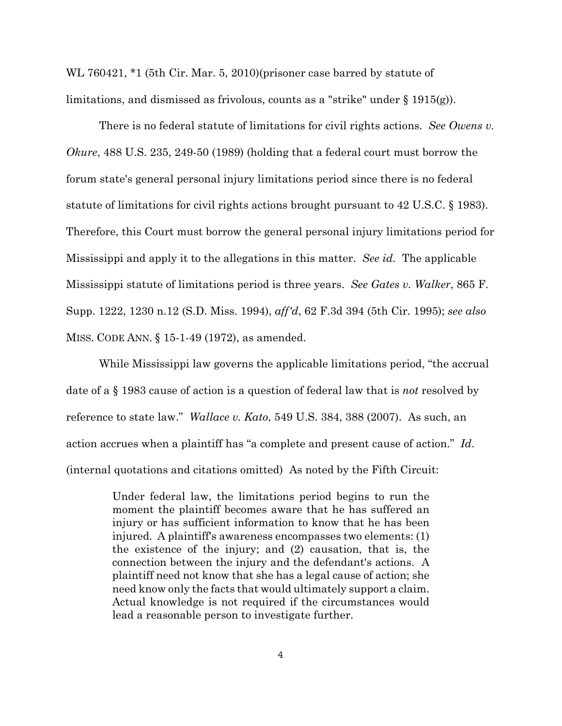WL 760421, \*1 (5th Cir. Mar. 5, 2010)(prisoner case barred by statute of limitations, and dismissed as frivolous, counts as a "strike" under  $\S$  1915(g)).

There is no federal statute of limitations for civil rights actions. *See Owens v. Okure*, 488 U.S. 235, 249-50 (1989) (holding that a federal court must borrow the forum state's general personal injury limitations period since there is no federal statute of limitations for civil rights actions brought pursuant to 42 U.S.C. § 1983). Therefore, this Court must borrow the general personal injury limitations period for Mississippi and apply it to the allegations in this matter. *See id.* The applicable Mississippi statute of limitations period is three years. *See Gates v. Walker*, 865 F. Supp. 1222, 1230 n.12 (S.D. Miss. 1994), *aff'd*, 62 F.3d 394 (5th Cir. 1995); *see also* MISS. CODE ANN. § 15-1-49 (1972), as amended.

While Mississippi law governs the applicable limitations period, "the accrual date of a § 1983 cause of action is a question of federal law that is *not* resolved by reference to state law." *Wallace v. Kato*, 549 U.S. 384, 388 (2007). As such, an action accrues when a plaintiff has "a complete and present cause of action." *Id*. (internal quotations and citations omitted) As noted by the Fifth Circuit:

> Under federal law, the limitations period begins to run the moment the plaintiff becomes aware that he has suffered an injury or has sufficient information to know that he has been injured. A plaintiff's awareness encompasses two elements: (1) the existence of the injury; and (2) causation, that is, the connection between the injury and the defendant's actions. A plaintiff need not know that she has a legal cause of action; she need know only the facts that would ultimately support a claim. Actual knowledge is not required if the circumstances would lead a reasonable person to investigate further.

> > 4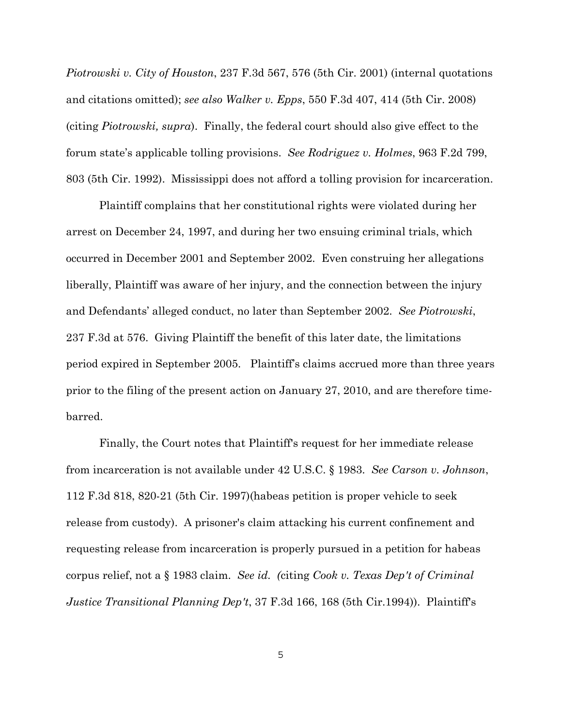*Piotrowski v. City of Houston*, 237 F.3d 567, 576 (5th Cir. 2001) (internal quotations and citations omitted); *see also Walker v. Epps*, 550 F.3d 407, 414 (5th Cir. 2008) (citing *Piotrowski, supra*). Finally, the federal court should also give effect to the forum state's applicable tolling provisions. *See Rodriguez v. Holmes*, 963 F.2d 799, 803 (5th Cir. 1992). Mississippi does not afford a tolling provision for incarceration.

Plaintiff complains that her constitutional rights were violated during her arrest on December 24, 1997, and during her two ensuing criminal trials, which occurred in December 2001 and September 2002. Even construing her allegations liberally, Plaintiff was aware of her injury, and the connection between the injury and Defendants' alleged conduct, no later than September 2002. *See Piotrowski*, 237 F.3d at 576. Giving Plaintiff the benefit of this later date, the limitations period expired in September 2005. Plaintiff's claims accrued more than three years prior to the filing of the present action on January 27, 2010, and are therefore timebarred.

Finally, the Court notes that Plaintiff's request for her immediate release from incarceration is not available under 42 U.S.C. § 1983. *See Carson v. Johnson*, 112 F.3d 818, 820-21 (5th Cir. 1997)(habeas petition is proper vehicle to seek release from custody). A prisoner's claim attacking his current confinement and requesting release from incarceration is properly pursued in a petition for habeas corpus relief, not a § 1983 claim. *See id. (*citing *Cook v. Texas Dep't of Criminal Justice Transitional Planning Dep't*, 37 F.3d 166, 168 (5th Cir.1994)). Plaintiff's

5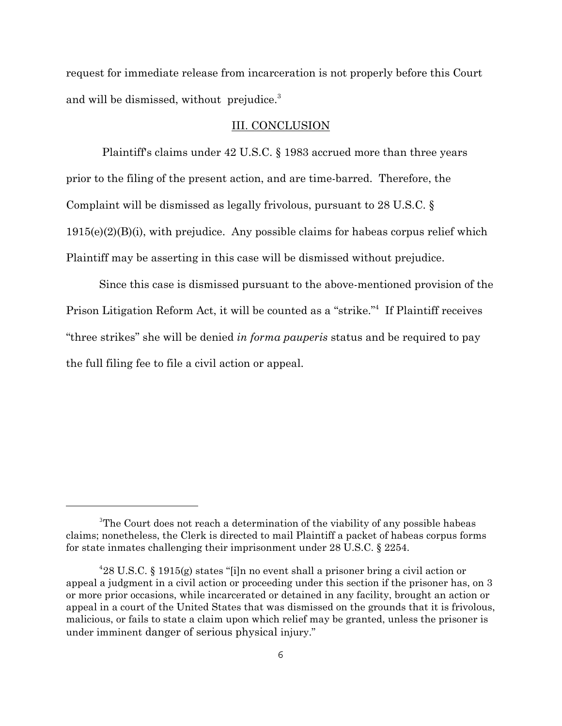request for immediate release from incarceration is not properly before this Court and will be dismissed, without prejudice.<sup>3</sup>

#### III. CONCLUSION

 Plaintiff's claims under 42 U.S.C. § 1983 accrued more than three years prior to the filing of the present action, and are time-barred. Therefore, the Complaint will be dismissed as legally frivolous, pursuant to 28 U.S.C. § 1915(e)(2)(B)(i), with prejudice. Any possible claims for habeas corpus relief which Plaintiff may be asserting in this case will be dismissed without prejudice.

Since this case is dismissed pursuant to the above-mentioned provision of the Prison Litigation Reform Act, it will be counted as a "strike."<sup>4</sup> If Plaintiff receives "three strikes" she will be denied *in forma pauperis* status and be required to pay the full filing fee to file a civil action or appeal.

<sup>&</sup>lt;sup>3</sup>The Court does not reach a determination of the viability of any possible habeas claims; nonetheless, the Clerk is directed to mail Plaintiff a packet of habeas corpus forms for state inmates challenging their imprisonment under 28 U.S.C. § 2254.

<sup>4</sup> 28 U.S.C. § 1915(g) states "[i]n no event shall a prisoner bring a civil action or appeal a judgment in a civil action or proceeding under this section if the prisoner has, on 3 or more prior occasions, while incarcerated or detained in any facility, brought an action or appeal in a court of the United States that was dismissed on the grounds that it is frivolous, malicious, or fails to state a claim upon which relief may be granted, unless the prisoner is under imminent danger of serious physical injury."